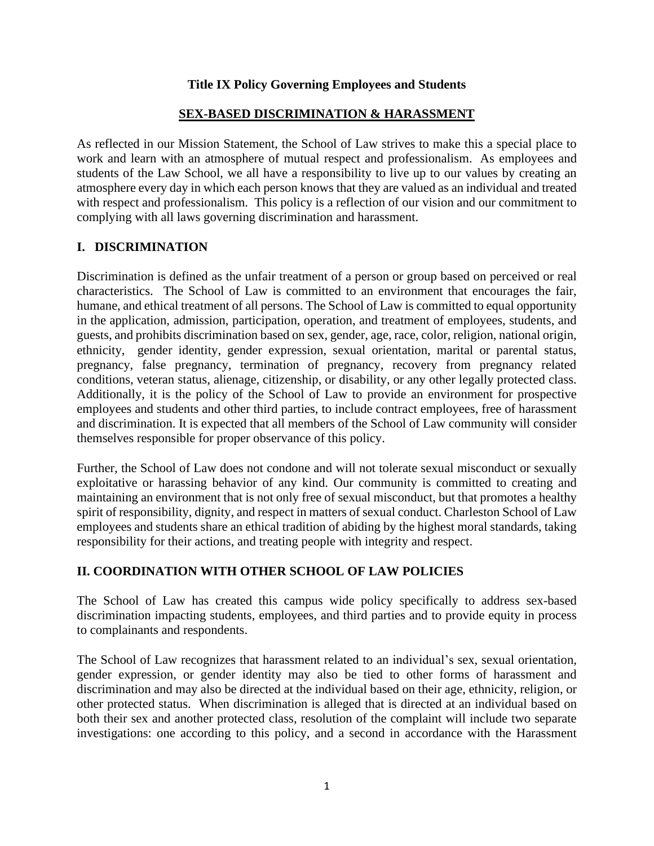### **Title IX Policy Governing Employees and Students**

#### **SEX-BASED DISCRIMINATION & HARASSMENT**

As reflected in our Mission Statement, the School of Law strives to make this a special place to work and learn with an atmosphere of mutual respect and professionalism. As employees and students of the Law School, we all have a responsibility to live up to our values by creating an atmosphere every day in which each person knows that they are valued as an individual and treated with respect and professionalism. This policy is a reflection of our vision and our commitment to complying with all laws governing discrimination and harassment.

### **I. DISCRIMINATION**

Discrimination is defined as the unfair treatment of a person or group based on perceived or real characteristics. The School of Law is committed to an environment that encourages the fair, humane, and ethical treatment of all persons. The School of Law is committed to equal opportunity in the application, admission, participation, operation, and treatment of employees, students, and guests, and prohibits discrimination based on sex, gender, age, race, color, religion, national origin, ethnicity, gender identity, gender expression, sexual orientation, marital or parental status, pregnancy, false pregnancy, termination of pregnancy, recovery from pregnancy related conditions, veteran status, alienage, citizenship, or disability, or any other legally protected class. Additionally, it is the policy of the School of Law to provide an environment for prospective employees and students and other third parties, to include contract employees, free of harassment and discrimination. It is expected that all members of the School of Law community will consider themselves responsible for proper observance of this policy.

Further, the School of Law does not condone and will not tolerate sexual misconduct or sexually exploitative or harassing behavior of any kind. Our community is committed to creating and maintaining an environment that is not only free of sexual misconduct, but that promotes a healthy spirit of responsibility, dignity, and respect in matters of sexual conduct. Charleston School of Law employees and students share an ethical tradition of abiding by the highest moral standards, taking responsibility for their actions, and treating people with integrity and respect.

### **II. COORDINATION WITH OTHER SCHOOL OF LAW POLICIES**

The School of Law has created this campus wide policy specifically to address sex-based discrimination impacting students, employees, and third parties and to provide equity in process to complainants and respondents.

The School of Law recognizes that harassment related to an individual's sex, sexual orientation, gender expression, or gender identity may also be tied to other forms of harassment and discrimination and may also be directed at the individual based on their age, ethnicity, religion, or other protected status. When discrimination is alleged that is directed at an individual based on both their sex and another protected class, resolution of the complaint will include two separate investigations: one according to this policy, and a second in accordance with the Harassment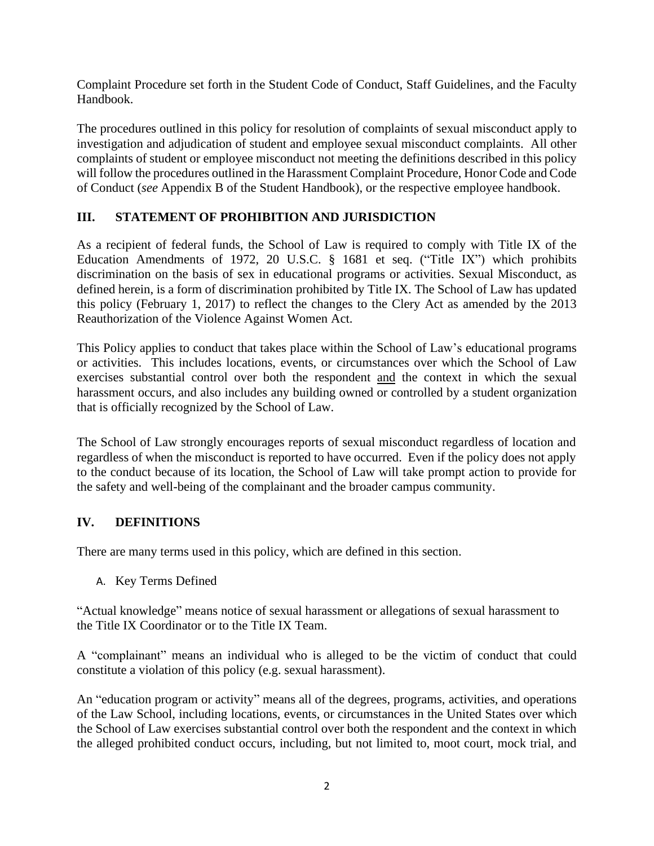Complaint Procedure set forth in the Student Code of Conduct, Staff Guidelines, and the Faculty Handbook.

The procedures outlined in this policy for resolution of complaints of sexual misconduct apply to investigation and adjudication of student and employee sexual misconduct complaints. All other complaints of student or employee misconduct not meeting the definitions described in this policy will follow the procedures outlined in the Harassment Complaint Procedure, Honor Code and Code of Conduct (*see* Appendix B of the Student Handbook), or the respective employee handbook.

## **III. STATEMENT OF PROHIBITION AND JURISDICTION**

As a recipient of federal funds, the School of Law is required to comply with Title IX of the Education Amendments of 1972, 20 U.S.C. § 1681 et seq. ("Title IX") which prohibits discrimination on the basis of sex in educational programs or activities. Sexual Misconduct, as defined herein, is a form of discrimination prohibited by Title IX. The School of Law has updated this policy (February 1, 2017) to reflect the changes to the Clery Act as amended by the 2013 Reauthorization of the Violence Against Women Act.

This Policy applies to conduct that takes place within the School of Law's educational programs or activities. This includes locations, events, or circumstances over which the School of Law exercises substantial control over both the respondent and the context in which the sexual harassment occurs, and also includes any building owned or controlled by a student organization that is officially recognized by the School of Law.

The School of Law strongly encourages reports of sexual misconduct regardless of location and regardless of when the misconduct is reported to have occurred. Even if the policy does not apply to the conduct because of its location, the School of Law will take prompt action to provide for the safety and well-being of the complainant and the broader campus community.

### **IV. DEFINITIONS**

There are many terms used in this policy, which are defined in this section.

A. Key Terms Defined

"Actual knowledge" means notice of sexual harassment or allegations of sexual harassment to the Title IX Coordinator or to the Title IX Team.

A "complainant" means an individual who is alleged to be the victim of conduct that could constitute a violation of this policy (e.g. sexual harassment).

An "education program or activity" means all of the degrees, programs, activities, and operations of the Law School, including locations, events, or circumstances in the United States over which the School of Law exercises substantial control over both the respondent and the context in which the alleged prohibited conduct occurs, including, but not limited to, moot court, mock trial, and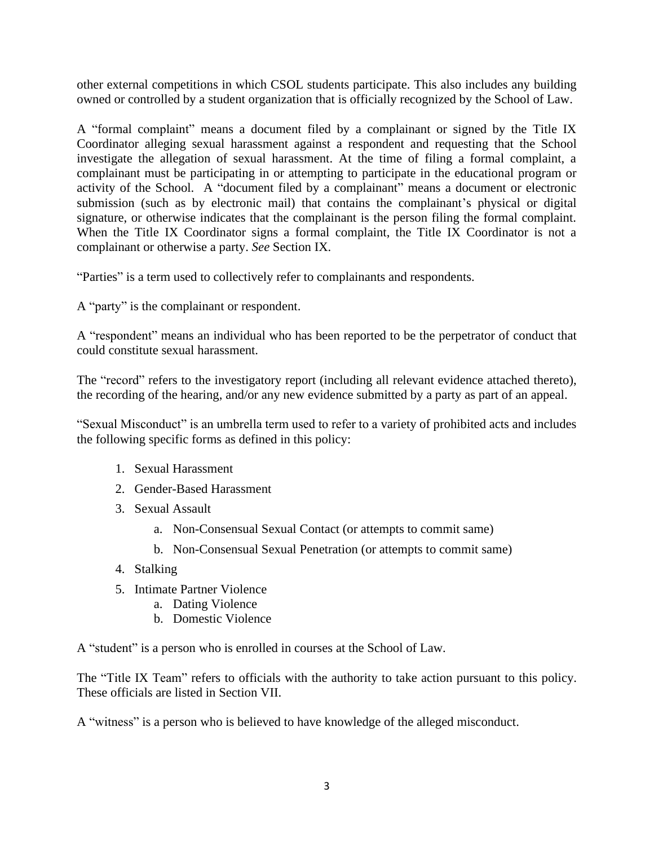other external competitions in which CSOL students participate. This also includes any building owned or controlled by a student organization that is officially recognized by the School of Law.

A "formal complaint" means a document filed by a complainant or signed by the Title IX Coordinator alleging sexual harassment against a respondent and requesting that the School investigate the allegation of sexual harassment. At the time of filing a formal complaint, a complainant must be participating in or attempting to participate in the educational program or activity of the School. A "document filed by a complainant" means a document or electronic submission (such as by electronic mail) that contains the complainant's physical or digital signature, or otherwise indicates that the complainant is the person filing the formal complaint. When the Title IX Coordinator signs a formal complaint, the Title IX Coordinator is not a complainant or otherwise a party. *See* Section IX.

"Parties" is a term used to collectively refer to complainants and respondents.

A "party" is the complainant or respondent.

A "respondent" means an individual who has been reported to be the perpetrator of conduct that could constitute sexual harassment.

The "record" refers to the investigatory report (including all relevant evidence attached thereto), the recording of the hearing, and/or any new evidence submitted by a party as part of an appeal.

"Sexual Misconduct" is an umbrella term used to refer to a variety of prohibited acts and includes the following specific forms as defined in this policy:

- 1. Sexual Harassment
- 2. Gender-Based Harassment
- 3. Sexual Assault
	- a. Non-Consensual Sexual Contact (or attempts to commit same)
	- b. Non-Consensual Sexual Penetration (or attempts to commit same)
- 4. Stalking
- 5. Intimate Partner Violence
	- a. Dating Violence
	- b. Domestic Violence

A "student" is a person who is enrolled in courses at the School of Law.

The "Title IX Team" refers to officials with the authority to take action pursuant to this policy. These officials are listed in Section VII.

A "witness" is a person who is believed to have knowledge of the alleged misconduct.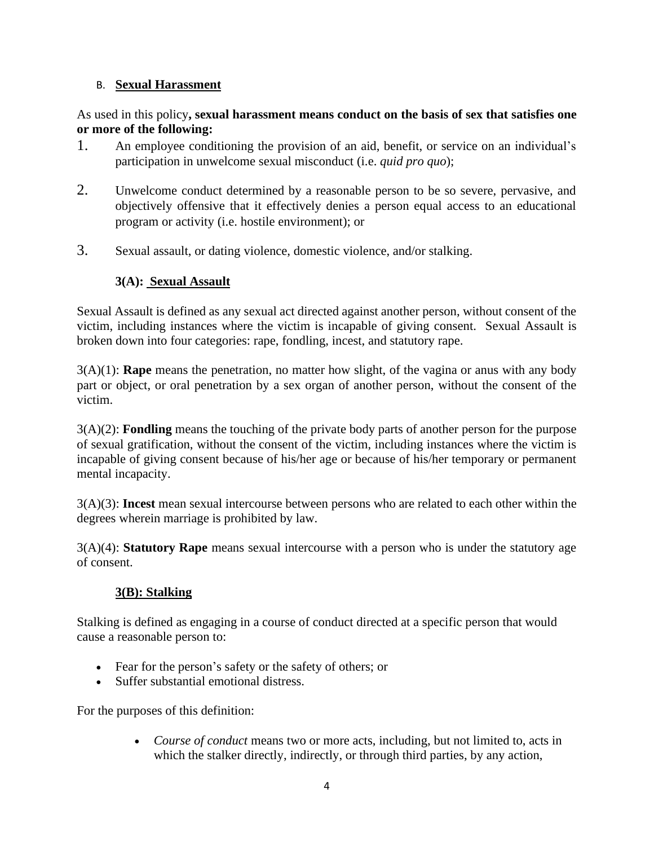### B. **Sexual Harassment**

#### As used in this policy**, sexual harassment means conduct on the basis of sex that satisfies one or more of the following:**

- 1. An employee conditioning the provision of an aid, benefit, or service on an individual's participation in unwelcome sexual misconduct (i.e. *quid pro quo*);
- 2. Unwelcome conduct determined by a reasonable person to be so severe, pervasive, and objectively offensive that it effectively denies a person equal access to an educational program or activity (i.e. hostile environment); or
- 3. Sexual assault, or dating violence, domestic violence, and/or stalking.

## **3(A): Sexual Assault**

Sexual Assault is defined as any sexual act directed against another person, without consent of the victim, including instances where the victim is incapable of giving consent. Sexual Assault is broken down into four categories: rape, fondling, incest, and statutory rape.

3(A)(1): **Rape** means the penetration, no matter how slight, of the vagina or anus with any body part or object, or oral penetration by a sex organ of another person, without the consent of the victim.

3(A)(2): **Fondling** means the touching of the private body parts of another person for the purpose of sexual gratification, without the consent of the victim, including instances where the victim is incapable of giving consent because of his/her age or because of his/her temporary or permanent mental incapacity.

3(A)(3): **Incest** mean sexual intercourse between persons who are related to each other within the degrees wherein marriage is prohibited by law.

3(A)(4): **Statutory Rape** means sexual intercourse with a person who is under the statutory age of consent.

### **3(B): Stalking**

Stalking is defined as engaging in a course of conduct directed at a specific person that would cause a reasonable person to:

- Fear for the person's safety or the safety of others; or
- Suffer substantial emotional distress.

For the purposes of this definition:

• *Course of conduct* means two or more acts, including, but not limited to, acts in which the stalker directly, indirectly, or through third parties, by any action,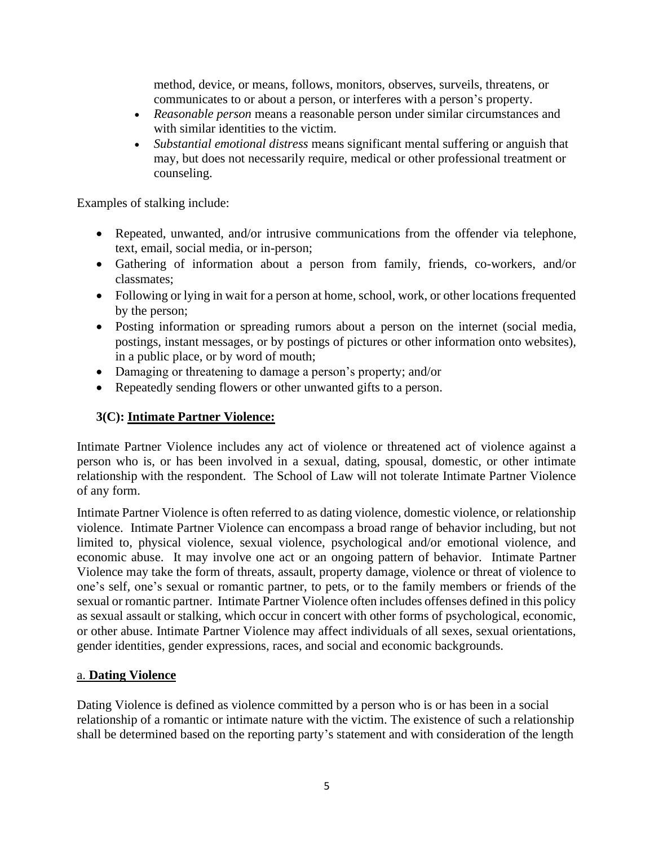method, device, or means, follows, monitors, observes, surveils, threatens, or communicates to or about a person, or interferes with a person's property.

- *Reasonable person* means a reasonable person under similar circumstances and with similar identities to the victim.
- *Substantial emotional distress* means significant mental suffering or anguish that may, but does not necessarily require, medical or other professional treatment or counseling.

Examples of stalking include:

- Repeated, unwanted, and/or intrusive communications from the offender via telephone, text, email, social media, or in-person;
- Gathering of information about a person from family, friends, co-workers, and/or classmates;
- Following or lying in wait for a person at home, school, work, or other locations frequented by the person;
- Posting information or spreading rumors about a person on the internet (social media, postings, instant messages, or by postings of pictures or other information onto websites), in a public place, or by word of mouth;
- Damaging or threatening to damage a person's property; and/or
- Repeatedly sending flowers or other unwanted gifts to a person.

## **3(C): Intimate Partner Violence:**

Intimate Partner Violence includes any act of violence or threatened act of violence against a person who is, or has been involved in a sexual, dating, spousal, domestic, or other intimate relationship with the respondent. The School of Law will not tolerate Intimate Partner Violence of any form.

Intimate Partner Violence is often referred to as dating violence, domestic violence, or relationship violence. Intimate Partner Violence can encompass a broad range of behavior including, but not limited to, physical violence, sexual violence, psychological and/or emotional violence, and economic abuse. It may involve one act or an ongoing pattern of behavior. Intimate Partner Violence may take the form of threats, assault, property damage, violence or threat of violence to one's self, one's sexual or romantic partner, to pets, or to the family members or friends of the sexual or romantic partner. Intimate Partner Violence often includes offenses defined in this policy as sexual assault or stalking, which occur in concert with other forms of psychological, economic, or other abuse. Intimate Partner Violence may affect individuals of all sexes, sexual orientations, gender identities, gender expressions, races, and social and economic backgrounds.

### a. **Dating Violence**

Dating Violence is defined as violence committed by a person who is or has been in a social relationship of a romantic or intimate nature with the victim. The existence of such a relationship shall be determined based on the reporting party's statement and with consideration of the length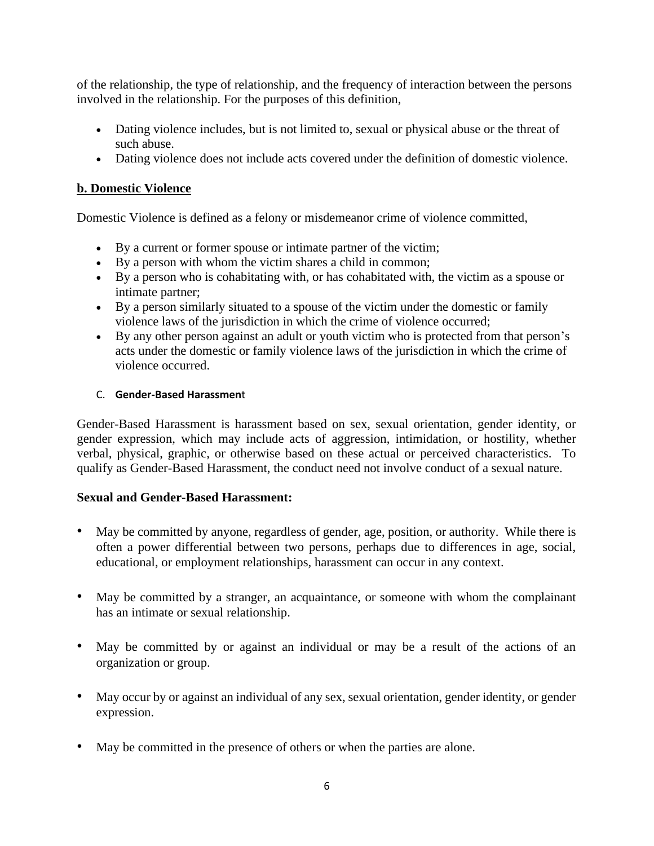of the relationship, the type of relationship, and the frequency of interaction between the persons involved in the relationship. For the purposes of this definition,

- Dating violence includes, but is not limited to, sexual or physical abuse or the threat of such abuse.
- Dating violence does not include acts covered under the definition of domestic violence.

### **b. Domestic Violence**

Domestic Violence is defined as a felony or misdemeanor crime of violence committed,

- By a current or former spouse or intimate partner of the victim;
- By a person with whom the victim shares a child in common;
- By a person who is cohabitating with, or has cohabitated with, the victim as a spouse or intimate partner;
- By a person similarly situated to a spouse of the victim under the domestic or family violence laws of the jurisdiction in which the crime of violence occurred;
- By any other person against an adult or youth victim who is protected from that person's acts under the domestic or family violence laws of the jurisdiction in which the crime of violence occurred.

#### C. **Gender-Based Harassmen**t

Gender-Based Harassment is harassment based on sex, sexual orientation, gender identity, or gender expression, which may include acts of aggression, intimidation, or hostility, whether verbal, physical, graphic, or otherwise based on these actual or perceived characteristics. To qualify as Gender-Based Harassment, the conduct need not involve conduct of a sexual nature.

### **Sexual and Gender-Based Harassment:**

- May be committed by anyone, regardless of gender, age, position, or authority. While there is often a power differential between two persons, perhaps due to differences in age, social, educational, or employment relationships, harassment can occur in any context.
- May be committed by a stranger, an acquaintance, or someone with whom the complainant has an intimate or sexual relationship.
- May be committed by or against an individual or may be a result of the actions of an organization or group.
- May occur by or against an individual of any sex, sexual orientation, gender identity, or gender expression.
- May be committed in the presence of others or when the parties are alone.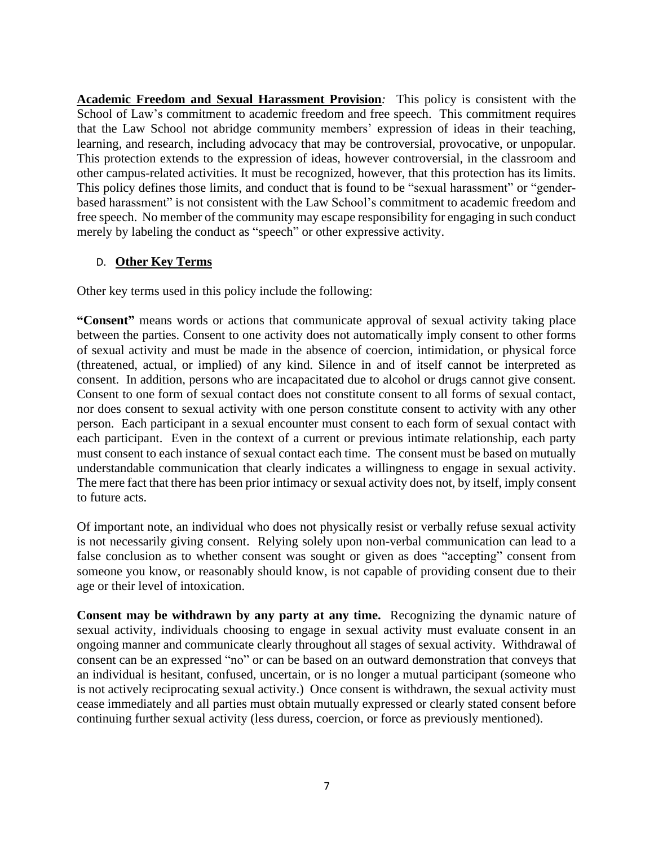**Academic Freedom and Sexual Harassment Provision***:* This policy is consistent with the School of Law's commitment to academic freedom and free speech. This commitment requires that the Law School not abridge community members' expression of ideas in their teaching, learning, and research, including advocacy that may be controversial, provocative, or unpopular. This protection extends to the expression of ideas, however controversial, in the classroom and other campus-related activities. It must be recognized, however, that this protection has its limits. This policy defines those limits, and conduct that is found to be "sexual harassment" or "genderbased harassment" is not consistent with the Law School's commitment to academic freedom and free speech. No member of the community may escape responsibility for engaging in such conduct merely by labeling the conduct as "speech" or other expressive activity.

### D. **Other Key Terms**

Other key terms used in this policy include the following:

**"Consent"** means words or actions that communicate approval of sexual activity taking place between the parties. Consent to one activity does not automatically imply consent to other forms of sexual activity and must be made in the absence of coercion, intimidation, or physical force (threatened, actual, or implied) of any kind. Silence in and of itself cannot be interpreted as consent. In addition, persons who are incapacitated due to alcohol or drugs cannot give consent. Consent to one form of sexual contact does not constitute consent to all forms of sexual contact, nor does consent to sexual activity with one person constitute consent to activity with any other person. Each participant in a sexual encounter must consent to each form of sexual contact with each participant. Even in the context of a current or previous intimate relationship, each party must consent to each instance of sexual contact each time. The consent must be based on mutually understandable communication that clearly indicates a willingness to engage in sexual activity. The mere fact that there has been prior intimacy or sexual activity does not, by itself, imply consent to future acts.

Of important note, an individual who does not physically resist or verbally refuse sexual activity is not necessarily giving consent. Relying solely upon non-verbal communication can lead to a false conclusion as to whether consent was sought or given as does "accepting" consent from someone you know, or reasonably should know, is not capable of providing consent due to their age or their level of intoxication.

**Consent may be withdrawn by any party at any time.** Recognizing the dynamic nature of sexual activity, individuals choosing to engage in sexual activity must evaluate consent in an ongoing manner and communicate clearly throughout all stages of sexual activity. Withdrawal of consent can be an expressed "no" or can be based on an outward demonstration that conveys that an individual is hesitant, confused, uncertain, or is no longer a mutual participant (someone who is not actively reciprocating sexual activity.) Once consent is withdrawn, the sexual activity must cease immediately and all parties must obtain mutually expressed or clearly stated consent before continuing further sexual activity (less duress, coercion, or force as previously mentioned).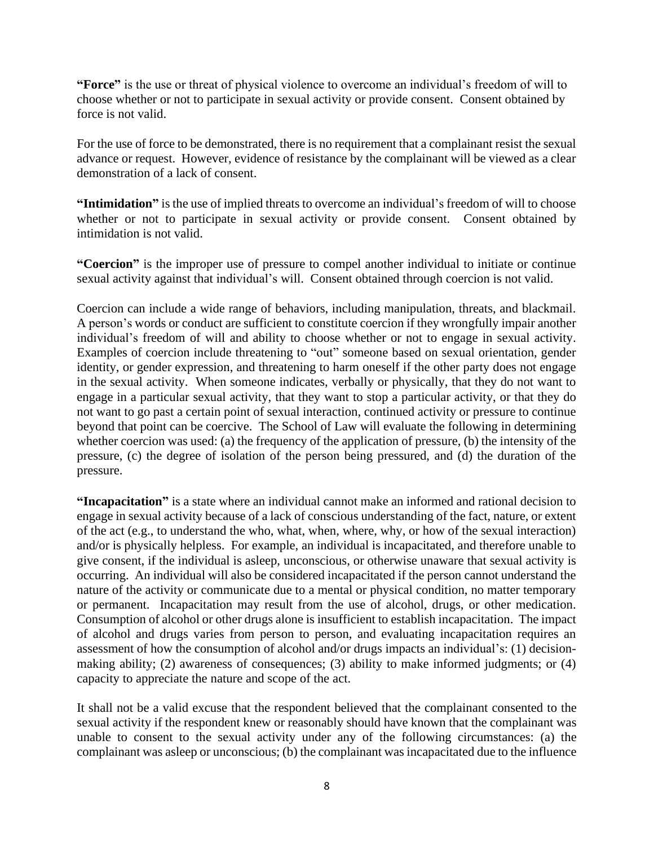**"Force"** is the use or threat of physical violence to overcome an individual's freedom of will to choose whether or not to participate in sexual activity or provide consent. Consent obtained by force is not valid.

For the use of force to be demonstrated, there is no requirement that a complainant resist the sexual advance or request. However, evidence of resistance by the complainant will be viewed as a clear demonstration of a lack of consent.

**"Intimidation"** is the use of implied threats to overcome an individual's freedom of will to choose whether or not to participate in sexual activity or provide consent. Consent obtained by intimidation is not valid.

**"Coercion"** is the improper use of pressure to compel another individual to initiate or continue sexual activity against that individual's will. Consent obtained through coercion is not valid.

Coercion can include a wide range of behaviors, including manipulation, threats, and blackmail. A person's words or conduct are sufficient to constitute coercion if they wrongfully impair another individual's freedom of will and ability to choose whether or not to engage in sexual activity. Examples of coercion include threatening to "out" someone based on sexual orientation, gender identity, or gender expression, and threatening to harm oneself if the other party does not engage in the sexual activity. When someone indicates, verbally or physically, that they do not want to engage in a particular sexual activity, that they want to stop a particular activity, or that they do not want to go past a certain point of sexual interaction, continued activity or pressure to continue beyond that point can be coercive. The School of Law will evaluate the following in determining whether coercion was used: (a) the frequency of the application of pressure, (b) the intensity of the pressure, (c) the degree of isolation of the person being pressured, and (d) the duration of the pressure.

**"Incapacitation"** is a state where an individual cannot make an informed and rational decision to engage in sexual activity because of a lack of conscious understanding of the fact, nature, or extent of the act (e.g., to understand the who, what, when, where, why, or how of the sexual interaction) and/or is physically helpless. For example, an individual is incapacitated, and therefore unable to give consent, if the individual is asleep, unconscious, or otherwise unaware that sexual activity is occurring. An individual will also be considered incapacitated if the person cannot understand the nature of the activity or communicate due to a mental or physical condition, no matter temporary or permanent. Incapacitation may result from the use of alcohol, drugs, or other medication. Consumption of alcohol or other drugs alone is insufficient to establish incapacitation. The impact of alcohol and drugs varies from person to person, and evaluating incapacitation requires an assessment of how the consumption of alcohol and/or drugs impacts an individual's: (1) decisionmaking ability; (2) awareness of consequences; (3) ability to make informed judgments; or (4) capacity to appreciate the nature and scope of the act.

It shall not be a valid excuse that the respondent believed that the complainant consented to the sexual activity if the respondent knew or reasonably should have known that the complainant was unable to consent to the sexual activity under any of the following circumstances: (a) the complainant was asleep or unconscious; (b) the complainant was incapacitated due to the influence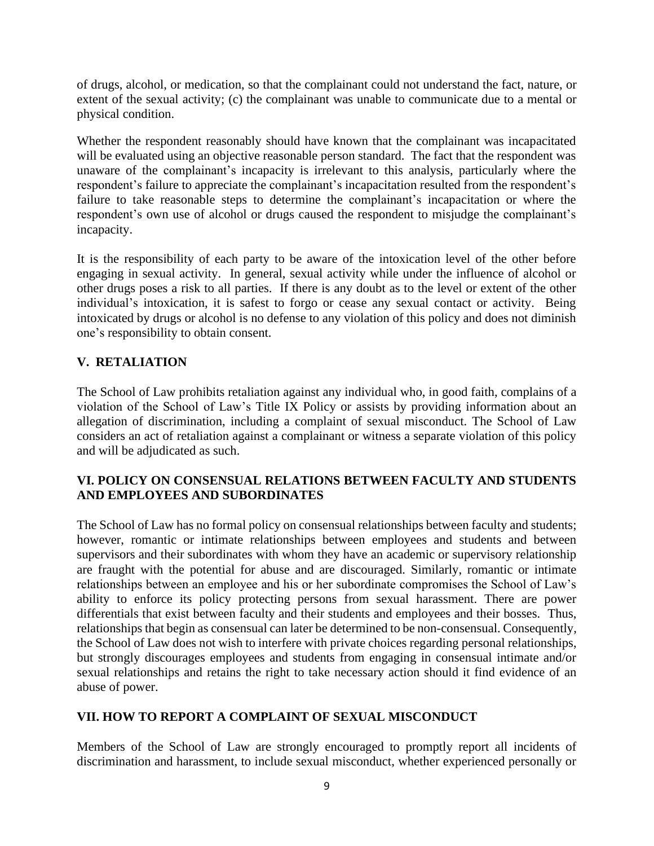of drugs, alcohol, or medication, so that the complainant could not understand the fact, nature, or extent of the sexual activity; (c) the complainant was unable to communicate due to a mental or physical condition.

Whether the respondent reasonably should have known that the complainant was incapacitated will be evaluated using an objective reasonable person standard. The fact that the respondent was unaware of the complainant's incapacity is irrelevant to this analysis, particularly where the respondent's failure to appreciate the complainant's incapacitation resulted from the respondent's failure to take reasonable steps to determine the complainant's incapacitation or where the respondent's own use of alcohol or drugs caused the respondent to misjudge the complainant's incapacity.

It is the responsibility of each party to be aware of the intoxication level of the other before engaging in sexual activity. In general, sexual activity while under the influence of alcohol or other drugs poses a risk to all parties. If there is any doubt as to the level or extent of the other individual's intoxication, it is safest to forgo or cease any sexual contact or activity. Being intoxicated by drugs or alcohol is no defense to any violation of this policy and does not diminish one's responsibility to obtain consent.

## **V. RETALIATION**

The School of Law prohibits retaliation against any individual who, in good faith, complains of a violation of the School of Law's Title IX Policy or assists by providing information about an allegation of discrimination, including a complaint of sexual misconduct. The School of Law considers an act of retaliation against a complainant or witness a separate violation of this policy and will be adjudicated as such.

## **VI. POLICY ON CONSENSUAL RELATIONS BETWEEN FACULTY AND STUDENTS AND EMPLOYEES AND SUBORDINATES**

The School of Law has no formal policy on consensual relationships between faculty and students; however, romantic or intimate relationships between employees and students and between supervisors and their subordinates with whom they have an academic or supervisory relationship are fraught with the potential for abuse and are discouraged. Similarly, romantic or intimate relationships between an employee and his or her subordinate compromises the School of Law's ability to enforce its policy protecting persons from sexual harassment. There are power differentials that exist between faculty and their students and employees and their bosses. Thus, relationships that begin as consensual can later be determined to be non-consensual. Consequently, the School of Law does not wish to interfere with private choices regarding personal relationships, but strongly discourages employees and students from engaging in consensual intimate and/or sexual relationships and retains the right to take necessary action should it find evidence of an abuse of power.

## **VII. HOW TO REPORT A COMPLAINT OF SEXUAL MISCONDUCT**

Members of the School of Law are strongly encouraged to promptly report all incidents of discrimination and harassment, to include sexual misconduct, whether experienced personally or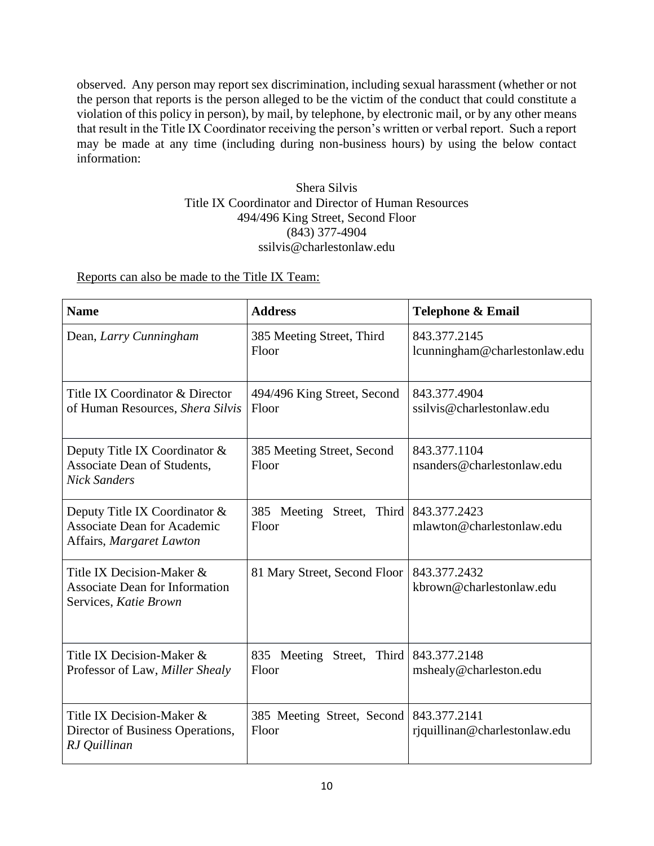observed. Any person may report sex discrimination, including sexual harassment (whether or not the person that reports is the person alleged to be the victim of the conduct that could constitute a violation of this policy in person), by mail, by telephone, by electronic mail, or by any other means that result in the Title IX Coordinator receiving the person's written or verbal report. Such a report may be made at any time (including during non-business hours) by using the below contact information:

#### Shera Silvis Title IX Coordinator and Director of Human Resources 494/496 King Street, Second Floor (843) 377-4904 ssilvis@charlestonlaw.edu

Reports can also be made to the Title IX Team:

| <b>Name</b>                                                                                     | <b>Address</b>                                  | <b>Telephone &amp; Email</b>                  |
|-------------------------------------------------------------------------------------------------|-------------------------------------------------|-----------------------------------------------|
| Dean, Larry Cunningham                                                                          | 385 Meeting Street, Third<br>Floor              | 843.377.2145<br>lcunningham@charlestonlaw.edu |
| Title IX Coordinator & Director<br>of Human Resources, Shera Silvis                             | 494/496 King Street, Second<br>Floor            | 843.377.4904<br>ssilvis@charlestonlaw.edu     |
| Deputy Title IX Coordinator &<br>Associate Dean of Students,<br><b>Nick Sanders</b>             | 385 Meeting Street, Second<br>Floor             | 843.377.1104<br>nsanders@charlestonlaw.edu    |
| Deputy Title IX Coordinator &<br><b>Associate Dean for Academic</b><br>Affairs, Margaret Lawton | 385 Meeting Street, Third 843.377.2423<br>Floor | mlawton@charlestonlaw.edu                     |
| Title IX Decision-Maker &<br><b>Associate Dean for Information</b><br>Services, Katie Brown     | 81 Mary Street, Second Floor                    | 843.377.2432<br>kbrown@charlestonlaw.edu      |
| Title IX Decision-Maker &<br>Professor of Law, Miller Shealy                                    | 835 Meeting Street, Third<br>Floor              | 843.377.2148<br>mshealy@charleston.edu        |
| Title IX Decision-Maker &<br>Director of Business Operations,<br>RJ Quillinan                   | 385 Meeting Street, Second<br>Floor             | 843.377.2141<br>rjquillinan@charlestonlaw.edu |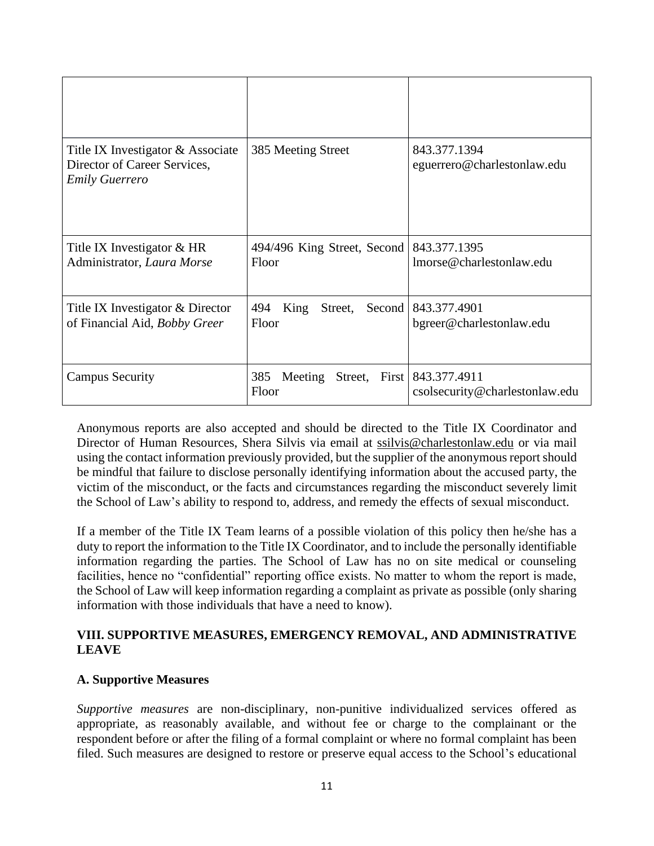| Title IX Investigator & Associate<br>Director of Career Services,<br><b>Emily Guerrero</b> | 385 Meeting Street                        | 843.377.1394<br>eguerrero@charlestonlaw.edu            |
|--------------------------------------------------------------------------------------------|-------------------------------------------|--------------------------------------------------------|
| Title IX Investigator & HR<br>Administrator, Laura Morse                                   | 494/496 King Street, Second<br>Floor      | 843.377.1395<br>lmorse@charlestonlaw.edu               |
| Title IX Investigator & Director<br>of Financial Aid, Bobby Greer                          | 494<br>King<br>Street,<br>Second<br>Floor | 843.377.4901<br>bgreer@charlestonlaw.edu               |
| <b>Campus Security</b>                                                                     | 385<br>Meeting<br>Street,<br>Floor        | First   843.377.4911<br>csolsecurity@charlestonlaw.edu |

Anonymous reports are also accepted and should be directed to the Title IX Coordinator and Director of Human Resources, Shera Silvis via email at [ssilvis@charlestonlaw.edu](mailto:ssilvis@charlestonlaw.edu) or via mail using the contact information previously provided, but the supplier of the anonymous report should be mindful that failure to disclose personally identifying information about the accused party, the victim of the misconduct, or the facts and circumstances regarding the misconduct severely limit the School of Law's ability to respond to, address, and remedy the effects of sexual misconduct.

If a member of the Title IX Team learns of a possible violation of this policy then he/she has a duty to report the information to the Title IX Coordinator, and to include the personally identifiable information regarding the parties. The School of Law has no on site medical or counseling facilities, hence no "confidential" reporting office exists. No matter to whom the report is made, the School of Law will keep information regarding a complaint as private as possible (only sharing information with those individuals that have a need to know).

#### **VIII. SUPPORTIVE MEASURES, EMERGENCY REMOVAL, AND ADMINISTRATIVE LEAVE**

### **A. Supportive Measures**

*Supportive measures* are non-disciplinary, non-punitive individualized services offered as appropriate, as reasonably available, and without fee or charge to the complainant or the respondent before or after the filing of a formal complaint or where no formal complaint has been filed. Such measures are designed to restore or preserve equal access to the School's educational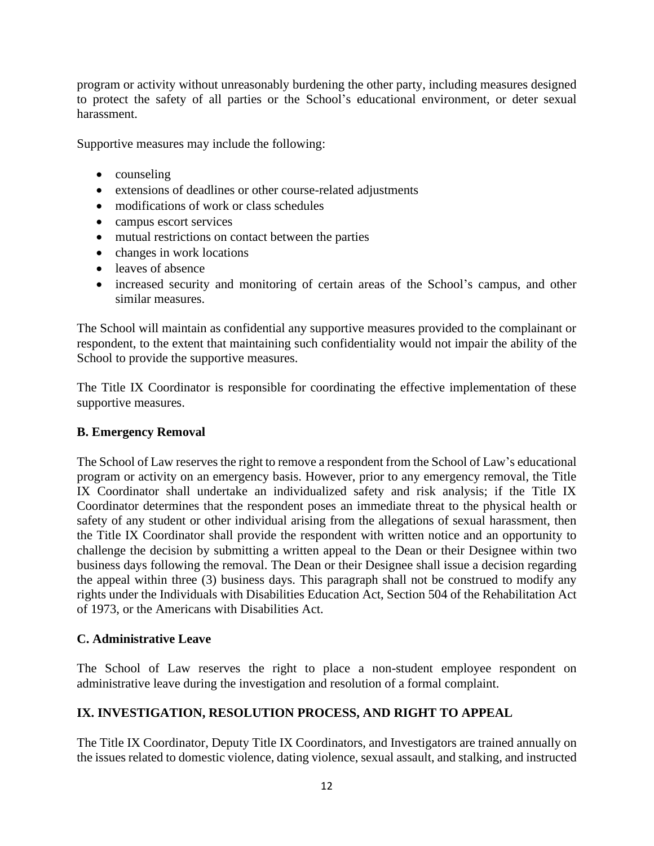program or activity without unreasonably burdening the other party, including measures designed to protect the safety of all parties or the School's educational environment, or deter sexual harassment.

Supportive measures may include the following:

- counseling
- extensions of deadlines or other course-related adjustments
- modifications of work or class schedules
- campus escort services
- mutual restrictions on contact between the parties
- changes in work locations
- leaves of absence
- increased security and monitoring of certain areas of the School's campus, and other similar measures.

The School will maintain as confidential any supportive measures provided to the complainant or respondent, to the extent that maintaining such confidentiality would not impair the ability of the School to provide the supportive measures.

The Title IX Coordinator is responsible for coordinating the effective implementation of these supportive measures.

### **B. Emergency Removal**

The School of Law reserves the right to remove a respondent from the School of Law's educational program or activity on an emergency basis. However, prior to any emergency removal, the Title IX Coordinator shall undertake an individualized safety and risk analysis; if the Title IX Coordinator determines that the respondent poses an immediate threat to the physical health or safety of any student or other individual arising from the allegations of sexual harassment, then the Title IX Coordinator shall provide the respondent with written notice and an opportunity to challenge the decision by submitting a written appeal to the Dean or their Designee within two business days following the removal. The Dean or their Designee shall issue a decision regarding the appeal within three (3) business days. This paragraph shall not be construed to modify any rights under the Individuals with Disabilities Education Act, Section 504 of the Rehabilitation Act of 1973, or the Americans with Disabilities Act.

### **C. Administrative Leave**

The School of Law reserves the right to place a non-student employee respondent on administrative leave during the investigation and resolution of a formal complaint.

### **IX. INVESTIGATION, RESOLUTION PROCESS, AND RIGHT TO APPEAL**

The Title IX Coordinator, Deputy Title IX Coordinators, and Investigators are trained annually on the issues related to domestic violence, dating violence, sexual assault, and stalking, and instructed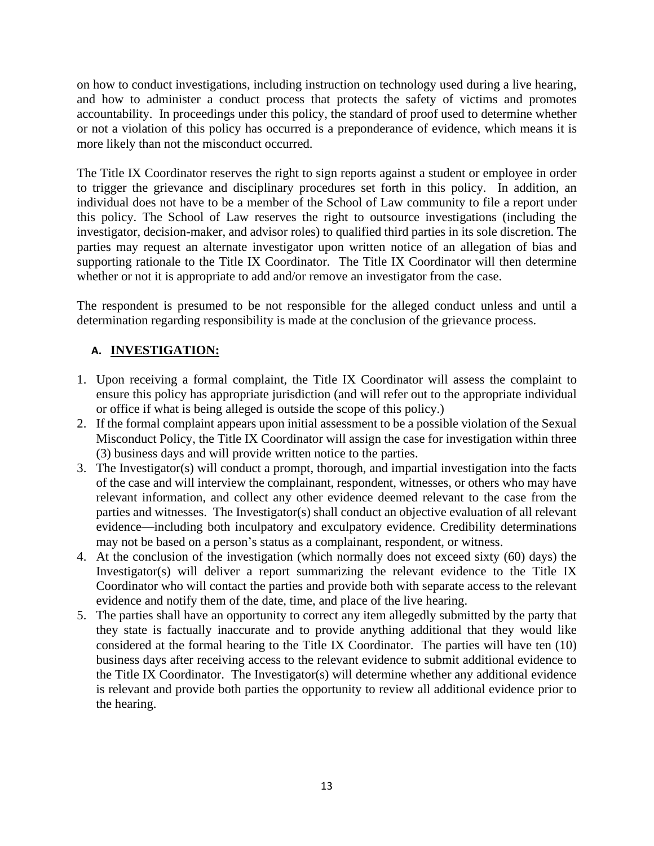on how to conduct investigations, including instruction on technology used during a live hearing, and how to administer a conduct process that protects the safety of victims and promotes accountability. In proceedings under this policy, the standard of proof used to determine whether or not a violation of this policy has occurred is a preponderance of evidence, which means it is more likely than not the misconduct occurred.

The Title IX Coordinator reserves the right to sign reports against a student or employee in order to trigger the grievance and disciplinary procedures set forth in this policy. In addition, an individual does not have to be a member of the School of Law community to file a report under this policy. The School of Law reserves the right to outsource investigations (including the investigator, decision-maker, and advisor roles) to qualified third parties in its sole discretion. The parties may request an alternate investigator upon written notice of an allegation of bias and supporting rationale to the Title IX Coordinator. The Title IX Coordinator will then determine whether or not it is appropriate to add and/or remove an investigator from the case.

The respondent is presumed to be not responsible for the alleged conduct unless and until a determination regarding responsibility is made at the conclusion of the grievance process.

# **A. INVESTIGATION:**

- 1. Upon receiving a formal complaint, the Title IX Coordinator will assess the complaint to ensure this policy has appropriate jurisdiction (and will refer out to the appropriate individual or office if what is being alleged is outside the scope of this policy.)
- 2. If the formal complaint appears upon initial assessment to be a possible violation of the Sexual Misconduct Policy, the Title IX Coordinator will assign the case for investigation within three (3) business days and will provide written notice to the parties.
- 3. The Investigator(s) will conduct a prompt, thorough, and impartial investigation into the facts of the case and will interview the complainant, respondent, witnesses, or others who may have relevant information, and collect any other evidence deemed relevant to the case from the parties and witnesses. The Investigator(s) shall conduct an objective evaluation of all relevant evidence—including both inculpatory and exculpatory evidence. Credibility determinations may not be based on a person's status as a complainant, respondent, or witness.
- 4. At the conclusion of the investigation (which normally does not exceed sixty (60) days) the Investigator(s) will deliver a report summarizing the relevant evidence to the Title IX Coordinator who will contact the parties and provide both with separate access to the relevant evidence and notify them of the date, time, and place of the live hearing.
- 5. The parties shall have an opportunity to correct any item allegedly submitted by the party that they state is factually inaccurate and to provide anything additional that they would like considered at the formal hearing to the Title IX Coordinator. The parties will have ten (10) business days after receiving access to the relevant evidence to submit additional evidence to the Title IX Coordinator. The Investigator(s) will determine whether any additional evidence is relevant and provide both parties the opportunity to review all additional evidence prior to the hearing.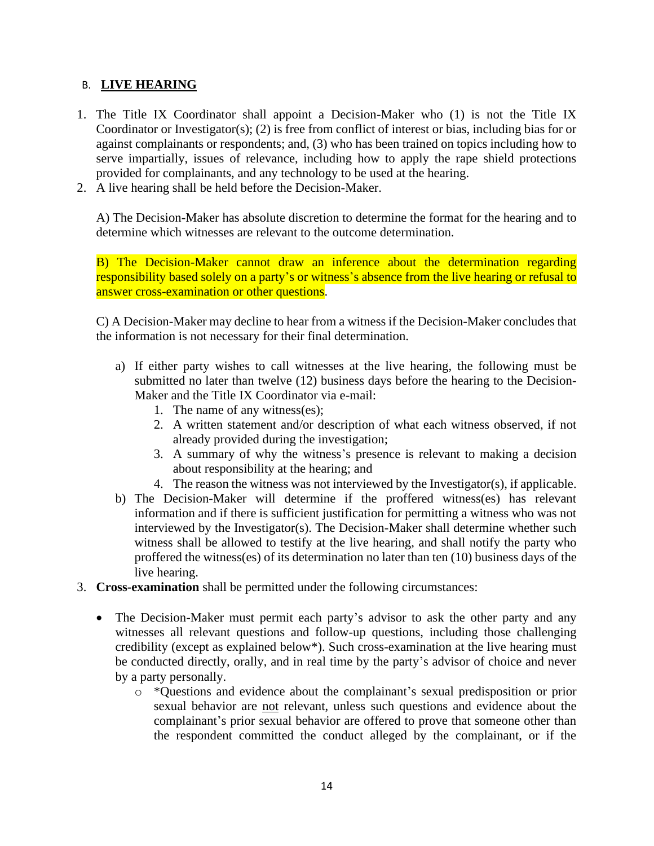### B. **LIVE HEARING**

- 1. The Title IX Coordinator shall appoint a Decision-Maker who (1) is not the Title IX Coordinator or Investigator(s); (2) is free from conflict of interest or bias, including bias for or against complainants or respondents; and, (3) who has been trained on topics including how to serve impartially, issues of relevance, including how to apply the rape shield protections provided for complainants, and any technology to be used at the hearing.
- 2. A live hearing shall be held before the Decision-Maker.

A) The Decision-Maker has absolute discretion to determine the format for the hearing and to determine which witnesses are relevant to the outcome determination.

B) The Decision-Maker cannot draw an inference about the determination regarding responsibility based solely on a party's or witness's absence from the live hearing or refusal to answer cross-examination or other questions.

C) A Decision-Maker may decline to hear from a witness if the Decision-Maker concludes that the information is not necessary for their final determination.

- a) If either party wishes to call witnesses at the live hearing, the following must be submitted no later than twelve (12) business days before the hearing to the Decision-Maker and the Title IX Coordinator via e-mail:
	- 1. The name of any witness(es);
	- 2. A written statement and/or description of what each witness observed, if not already provided during the investigation;
	- 3. A summary of why the witness's presence is relevant to making a decision about responsibility at the hearing; and
	- 4. The reason the witness was not interviewed by the Investigator(s), if applicable.
- b) The Decision-Maker will determine if the proffered witness(es) has relevant information and if there is sufficient justification for permitting a witness who was not interviewed by the Investigator(s). The Decision-Maker shall determine whether such witness shall be allowed to testify at the live hearing, and shall notify the party who proffered the witness(es) of its determination no later than ten (10) business days of the live hearing.
- 3. **Cross-examination** shall be permitted under the following circumstances:
	- The Decision-Maker must permit each party's advisor to ask the other party and any witnesses all relevant questions and follow-up questions, including those challenging credibility (except as explained below\*). Such cross-examination at the live hearing must be conducted directly, orally, and in real time by the party's advisor of choice and never by a party personally.
		- o \*Questions and evidence about the complainant's sexual predisposition or prior sexual behavior are not relevant, unless such questions and evidence about the complainant's prior sexual behavior are offered to prove that someone other than the respondent committed the conduct alleged by the complainant, or if the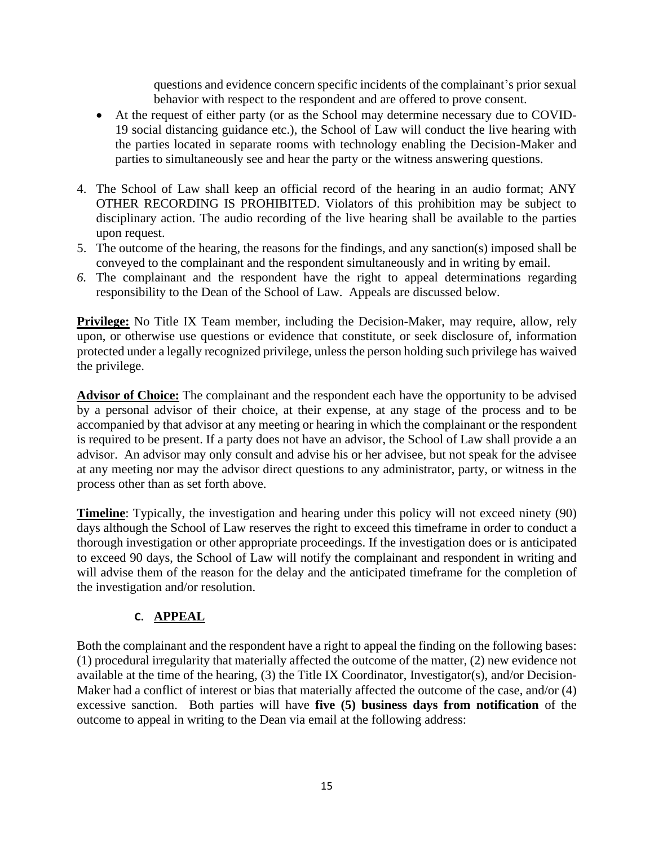questions and evidence concern specific incidents of the complainant's prior sexual behavior with respect to the respondent and are offered to prove consent.

- At the request of either party (or as the School may determine necessary due to COVID-19 social distancing guidance etc.), the School of Law will conduct the live hearing with the parties located in separate rooms with technology enabling the Decision-Maker and parties to simultaneously see and hear the party or the witness answering questions.
- 4. The School of Law shall keep an official record of the hearing in an audio format; ANY OTHER RECORDING IS PROHIBITED. Violators of this prohibition may be subject to disciplinary action. The audio recording of the live hearing shall be available to the parties upon request.
- 5. The outcome of the hearing, the reasons for the findings, and any sanction(s) imposed shall be conveyed to the complainant and the respondent simultaneously and in writing by email.
- *6.* The complainant and the respondent have the right to appeal determinations regarding responsibility to the Dean of the School of Law. Appeals are discussed below.

**Privilege:** No Title IX Team member, including the Decision-Maker, may require, allow, rely upon, or otherwise use questions or evidence that constitute, or seek disclosure of, information protected under a legally recognized privilege, unless the person holding such privilege has waived the privilege.

**Advisor of Choice:** The complainant and the respondent each have the opportunity to be advised by a personal advisor of their choice, at their expense, at any stage of the process and to be accompanied by that advisor at any meeting or hearing in which the complainant or the respondent is required to be present. If a party does not have an advisor, the School of Law shall provide a an advisor. An advisor may only consult and advise his or her advisee, but not speak for the advisee at any meeting nor may the advisor direct questions to any administrator, party, or witness in the process other than as set forth above.

**Timeline**: Typically, the investigation and hearing under this policy will not exceed ninety (90) days although the School of Law reserves the right to exceed this timeframe in order to conduct a thorough investigation or other appropriate proceedings. If the investigation does or is anticipated to exceed 90 days, the School of Law will notify the complainant and respondent in writing and will advise them of the reason for the delay and the anticipated timeframe for the completion of the investigation and/or resolution.

# **C. APPEAL**

Both the complainant and the respondent have a right to appeal the finding on the following bases: (1) procedural irregularity that materially affected the outcome of the matter, (2) new evidence not available at the time of the hearing, (3) the Title IX Coordinator, Investigator(s), and/or Decision-Maker had a conflict of interest or bias that materially affected the outcome of the case, and/or (4) excessive sanction. Both parties will have **five (5) business days from notification** of the outcome to appeal in writing to the Dean via email at the following address: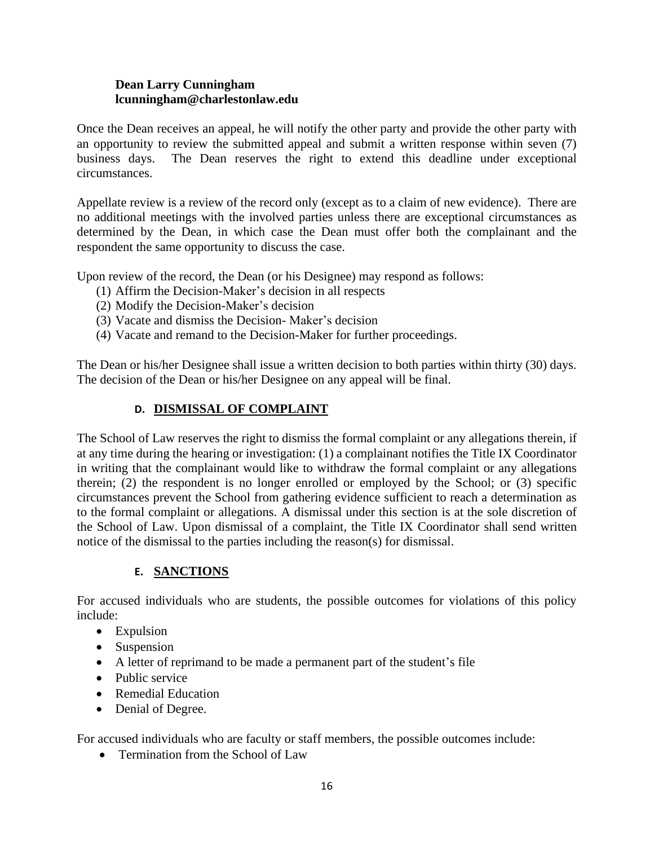#### **Dean Larry Cunningham lcunningham@charlestonlaw.edu**

Once the Dean receives an appeal, he will notify the other party and provide the other party with an opportunity to review the submitted appeal and submit a written response within seven (7) business days. The Dean reserves the right to extend this deadline under exceptional circumstances.

Appellate review is a review of the record only (except as to a claim of new evidence). There are no additional meetings with the involved parties unless there are exceptional circumstances as determined by the Dean, in which case the Dean must offer both the complainant and the respondent the same opportunity to discuss the case.

Upon review of the record, the Dean (or his Designee) may respond as follows:

- (1) Affirm the Decision-Maker's decision in all respects
- (2) Modify the Decision-Maker's decision
- (3) Vacate and dismiss the Decision- Maker's decision
- (4) Vacate and remand to the Decision-Maker for further proceedings.

The Dean or his/her Designee shall issue a written decision to both parties within thirty (30) days. The decision of the Dean or his/her Designee on any appeal will be final.

### **D. DISMISSAL OF COMPLAINT**

The School of Law reserves the right to dismiss the formal complaint or any allegations therein, if at any time during the hearing or investigation: (1) a complainant notifies the Title IX Coordinator in writing that the complainant would like to withdraw the formal complaint or any allegations therein; (2) the respondent is no longer enrolled or employed by the School; or (3) specific circumstances prevent the School from gathering evidence sufficient to reach a determination as to the formal complaint or allegations. A dismissal under this section is at the sole discretion of the School of Law. Upon dismissal of a complaint, the Title IX Coordinator shall send written notice of the dismissal to the parties including the reason(s) for dismissal.

### **E. SANCTIONS**

For accused individuals who are students, the possible outcomes for violations of this policy include:

- Expulsion
- Suspension
- A letter of reprimand to be made a permanent part of the student's file
- Public service
- Remedial Education
- Denial of Degree.

For accused individuals who are faculty or staff members, the possible outcomes include:

• Termination from the School of Law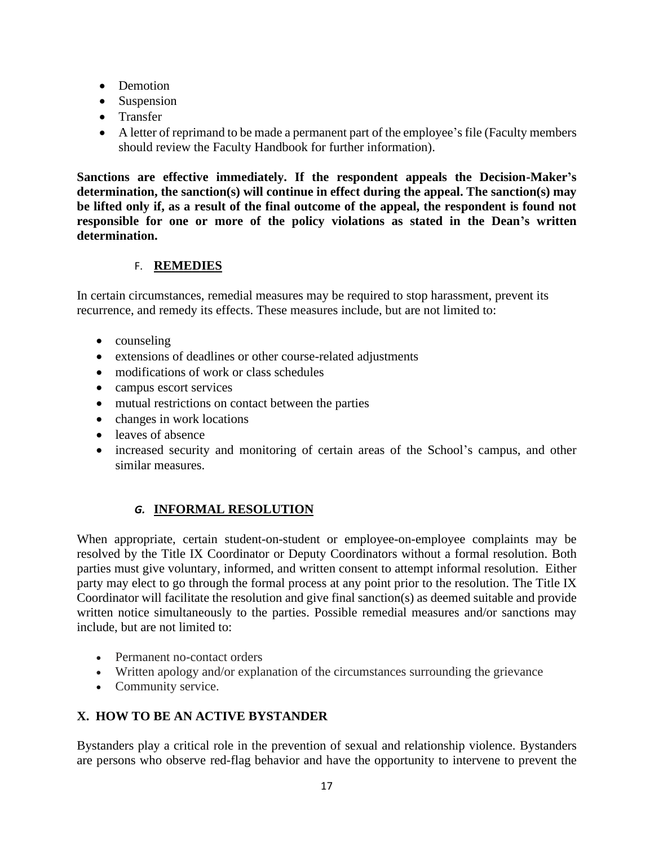- Demotion
- Suspension
- Transfer
- A letter of reprimand to be made a permanent part of the employee's file (Faculty members should review the Faculty Handbook for further information).

**Sanctions are effective immediately. If the respondent appeals the Decision-Maker's determination, the sanction(s) will continue in effect during the appeal. The sanction(s) may be lifted only if, as a result of the final outcome of the appeal, the respondent is found not responsible for one or more of the policy violations as stated in the Dean's written determination.**

### F. **REMEDIES**

In certain circumstances, remedial measures may be required to stop harassment, prevent its recurrence, and remedy its effects. These measures include, but are not limited to:

- counseling
- extensions of deadlines or other course-related adjustments
- modifications of work or class schedules
- campus escort services
- mutual restrictions on contact between the parties
- changes in work locations
- leaves of absence
- increased security and monitoring of certain areas of the School's campus, and other similar measures.

## *G.* **INFORMAL RESOLUTION**

When appropriate, certain student-on-student or employee-on-employee complaints may be resolved by the Title IX Coordinator or Deputy Coordinators without a formal resolution. Both parties must give voluntary, informed, and written consent to attempt informal resolution. Either party may elect to go through the formal process at any point prior to the resolution. The Title IX Coordinator will facilitate the resolution and give final sanction(s) as deemed suitable and provide written notice simultaneously to the parties. Possible remedial measures and/or sanctions may include, but are not limited to:

- Permanent no-contact orders
- Written apology and/or explanation of the circumstances surrounding the grievance
- Community service.

## **X. HOW TO BE AN ACTIVE BYSTANDER**

Bystanders play a critical role in the prevention of sexual and relationship violence. Bystanders are persons who observe red-flag behavior and have the opportunity to intervene to prevent the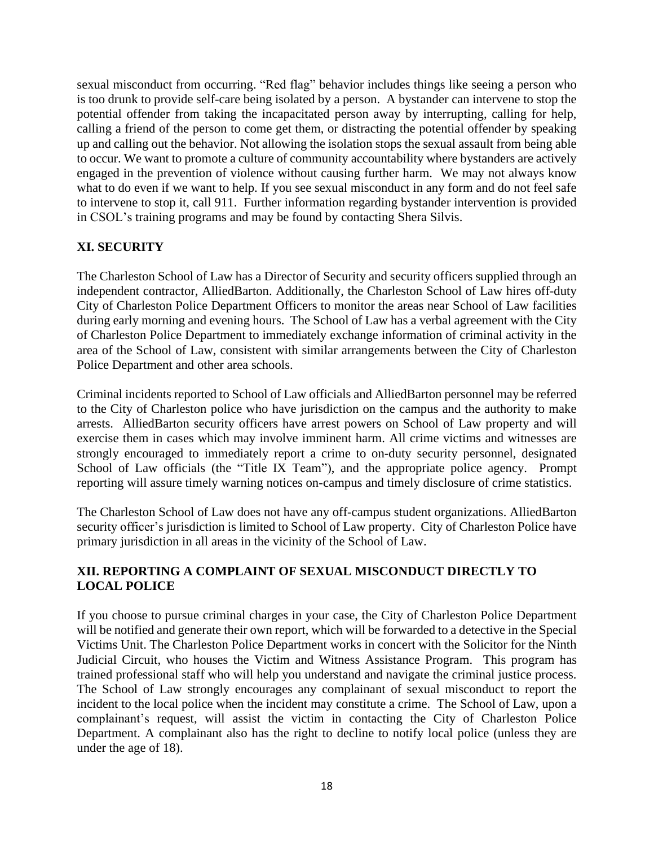sexual misconduct from occurring. "Red flag" behavior includes things like seeing a person who is too drunk to provide self-care being isolated by a person. A bystander can intervene to stop the potential offender from taking the incapacitated person away by interrupting, calling for help, calling a friend of the person to come get them, or distracting the potential offender by speaking up and calling out the behavior. Not allowing the isolation stops the sexual assault from being able to occur. We want to promote a culture of community accountability where bystanders are actively engaged in the prevention of violence without causing further harm. We may not always know what to do even if we want to help. If you see sexual misconduct in any form and do not feel safe to intervene to stop it, call 911. Further information regarding bystander intervention is provided in CSOL's training programs and may be found by contacting Shera Silvis.

## **XI. SECURITY**

The Charleston School of Law has a Director of Security and security officers supplied through an independent contractor, AlliedBarton. Additionally, the Charleston School of Law hires off-duty City of Charleston Police Department Officers to monitor the areas near School of Law facilities during early morning and evening hours. The School of Law has a verbal agreement with the City of Charleston Police Department to immediately exchange information of criminal activity in the area of the School of Law, consistent with similar arrangements between the City of Charleston Police Department and other area schools.

Criminal incidents reported to School of Law officials and AlliedBarton personnel may be referred to the City of Charleston police who have jurisdiction on the campus and the authority to make arrests. AlliedBarton security officers have arrest powers on School of Law property and will exercise them in cases which may involve imminent harm. All crime victims and witnesses are strongly encouraged to immediately report a crime to on-duty security personnel, designated School of Law officials (the "Title IX Team"), and the appropriate police agency. Prompt reporting will assure timely warning notices on-campus and timely disclosure of crime statistics.

The Charleston School of Law does not have any off-campus student organizations. AlliedBarton security officer's jurisdiction is limited to School of Law property. City of Charleston Police have primary jurisdiction in all areas in the vicinity of the School of Law.

#### **XII. REPORTING A COMPLAINT OF SEXUAL MISCONDUCT DIRECTLY TO LOCAL POLICE**

If you choose to pursue criminal charges in your case, the City of Charleston Police Department will be notified and generate their own report, which will be forwarded to a detective in the Special Victims Unit. The Charleston Police Department works in concert with the Solicitor for the Ninth Judicial Circuit, who houses the Victim and Witness Assistance Program. This program has trained professional staff who will help you understand and navigate the criminal justice process. The School of Law strongly encourages any complainant of sexual misconduct to report the incident to the local police when the incident may constitute a crime. The School of Law, upon a complainant's request, will assist the victim in contacting the City of Charleston Police Department. A complainant also has the right to decline to notify local police (unless they are under the age of 18).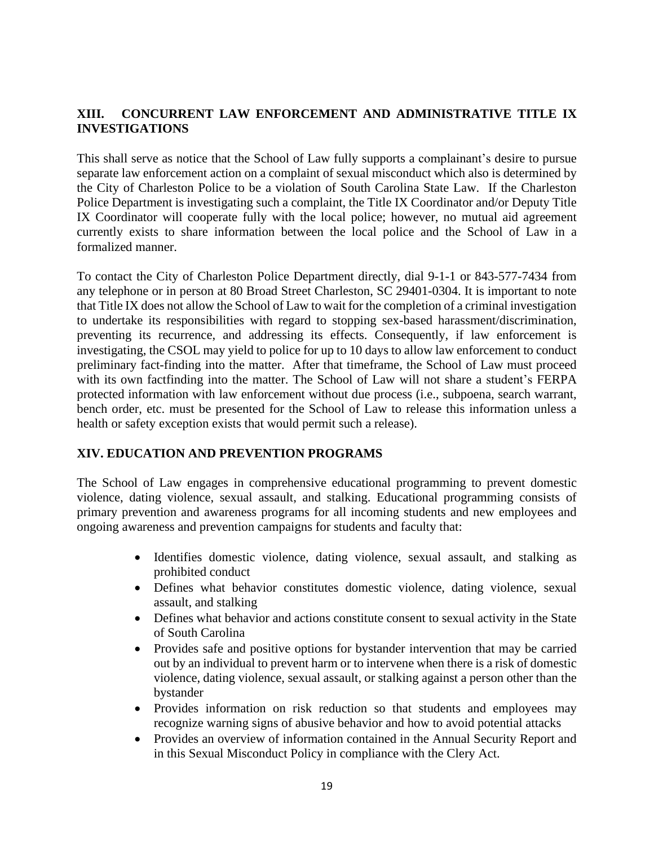### **XIII. CONCURRENT LAW ENFORCEMENT AND ADMINISTRATIVE TITLE IX INVESTIGATIONS**

This shall serve as notice that the School of Law fully supports a complainant's desire to pursue separate law enforcement action on a complaint of sexual misconduct which also is determined by the City of Charleston Police to be a violation of South Carolina State Law. If the Charleston Police Department is investigating such a complaint, the Title IX Coordinator and/or Deputy Title IX Coordinator will cooperate fully with the local police; however, no mutual aid agreement currently exists to share information between the local police and the School of Law in a formalized manner.

To contact the City of Charleston Police Department directly, dial 9-1-1 or 843-577-7434 from any telephone or in person at 80 Broad Street Charleston, SC 29401-0304. It is important to note that Title IX does not allow the School of Law to wait for the completion of a criminal investigation to undertake its responsibilities with regard to stopping sex-based harassment/discrimination, preventing its recurrence, and addressing its effects. Consequently, if law enforcement is investigating, the CSOL may yield to police for up to 10 days to allow law enforcement to conduct preliminary fact-finding into the matter. After that timeframe, the School of Law must proceed with its own factfinding into the matter. The School of Law will not share a student's FERPA protected information with law enforcement without due process (i.e., subpoena, search warrant, bench order, etc. must be presented for the School of Law to release this information unless a health or safety exception exists that would permit such a release).

### **XIV. EDUCATION AND PREVENTION PROGRAMS**

The School of Law engages in comprehensive educational programming to prevent domestic violence, dating violence, sexual assault, and stalking. Educational programming consists of primary prevention and awareness programs for all incoming students and new employees and ongoing awareness and prevention campaigns for students and faculty that:

- Identifies domestic violence, dating violence, sexual assault, and stalking as prohibited conduct
- Defines what behavior constitutes domestic violence, dating violence, sexual assault, and stalking
- Defines what behavior and actions constitute consent to sexual activity in the State of South Carolina
- Provides safe and positive options for bystander intervention that may be carried out by an individual to prevent harm or to intervene when there is a risk of domestic violence, dating violence, sexual assault, or stalking against a person other than the bystander
- Provides information on risk reduction so that students and employees may recognize warning signs of abusive behavior and how to avoid potential attacks
- Provides an overview of information contained in the Annual Security Report and in this Sexual Misconduct Policy in compliance with the Clery Act.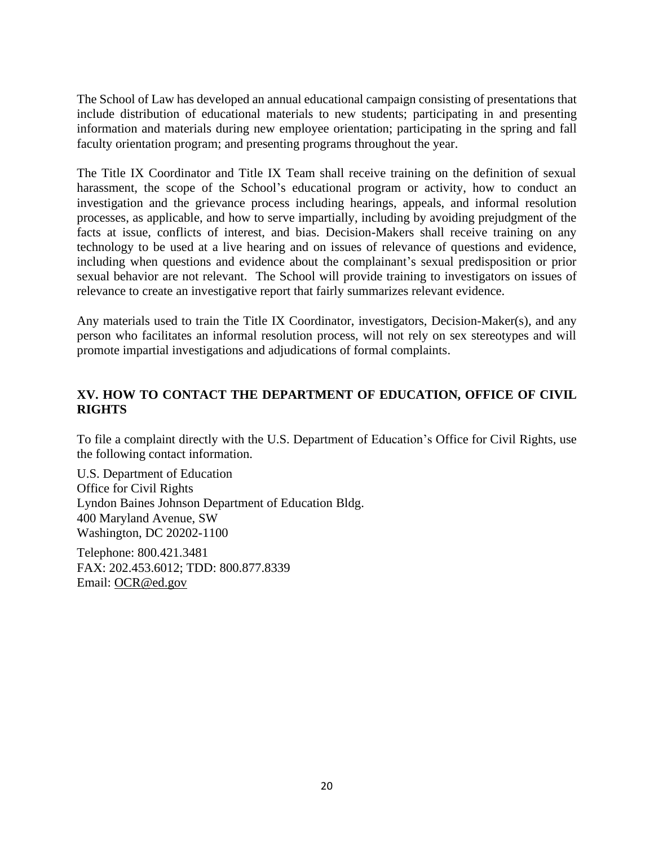The School of Law has developed an annual educational campaign consisting of presentations that include distribution of educational materials to new students; participating in and presenting information and materials during new employee orientation; participating in the spring and fall faculty orientation program; and presenting programs throughout the year.

The Title IX Coordinator and Title IX Team shall receive training on the definition of sexual harassment, the scope of the School's educational program or activity, how to conduct an investigation and the grievance process including hearings, appeals, and informal resolution processes, as applicable, and how to serve impartially, including by avoiding prejudgment of the facts at issue, conflicts of interest, and bias. Decision-Makers shall receive training on any technology to be used at a live hearing and on issues of relevance of questions and evidence, including when questions and evidence about the complainant's sexual predisposition or prior sexual behavior are not relevant. The School will provide training to investigators on issues of relevance to create an investigative report that fairly summarizes relevant evidence.

Any materials used to train the Title IX Coordinator, investigators, Decision-Maker(s), and any person who facilitates an informal resolution process, will not rely on sex stereotypes and will promote impartial investigations and adjudications of formal complaints.

### **XV. HOW TO CONTACT THE DEPARTMENT OF EDUCATION, OFFICE OF CIVIL RIGHTS**

To file a complaint directly with the U.S. Department of Education's Office for Civil Rights, use the following contact information.

U.S. Department of Education Office for Civil Rights Lyndon Baines Johnson Department of Education Bldg. 400 Maryland Avenue, SW Washington, DC 20202-1100

Telephone: 800.421.3481 FAX: 202.453.6012; TDD: 800.877.8339 Email: [OCR@ed.gov](mailto:OCR@ed.gov)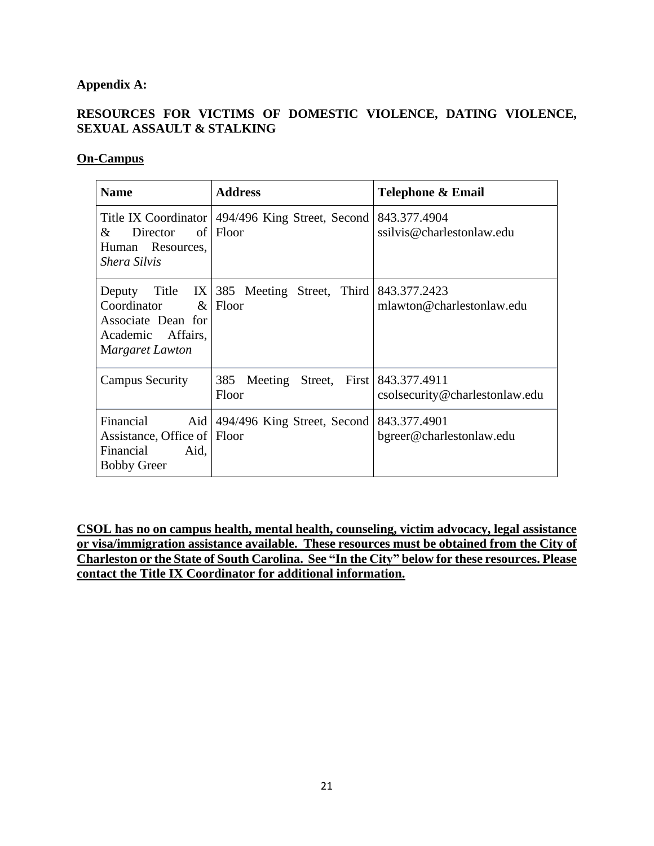## **Appendix A:**

## **RESOURCES FOR VICTIMS OF DOMESTIC VIOLENCE, DATING VIOLENCE, SEXUAL ASSAULT & STALKING**

#### **On-Campus**

| <b>Name</b>                                                                                    | <b>Address</b>                                                   | Telephone & Email                              |
|------------------------------------------------------------------------------------------------|------------------------------------------------------------------|------------------------------------------------|
| Director<br>&<br>Human Resources,<br>Shera Silvis                                              | Title IX Coordinator   494/496 King Street, Second  <br>of Floor | 843.377.4904<br>ssilvis@charlestonlaw.edu      |
| Deputy<br>Coordinator<br>Associate Dean for<br>Academic Affairs,<br>Margaret Lawton            | Title IX 385 Meeting Street, Third<br>$&$ Floor                  | 843.377.2423<br>mlawton@charlestonlaw.edu      |
| <b>Campus Security</b>                                                                         | 385<br>Meeting<br>Street,<br>First  <br>Floor                    | 843.377.4911<br>csolsecurity@charlestonlaw.edu |
| Financial<br>Aid  <br>Assistance, Office of   Floor<br>Financial<br>Aid,<br><b>Bobby Greer</b> | 494/496 King Street, Second                                      | 843.377.4901<br>bgreer@charlestonlaw.edu       |

**CSOL has no on campus health, mental health, counseling, victim advocacy, legal assistance or visa/immigration assistance available. These resources must be obtained from the City of Charleston or the State of South Carolina. See "In the City" below for these resources. Please contact the Title IX Coordinator for additional information.**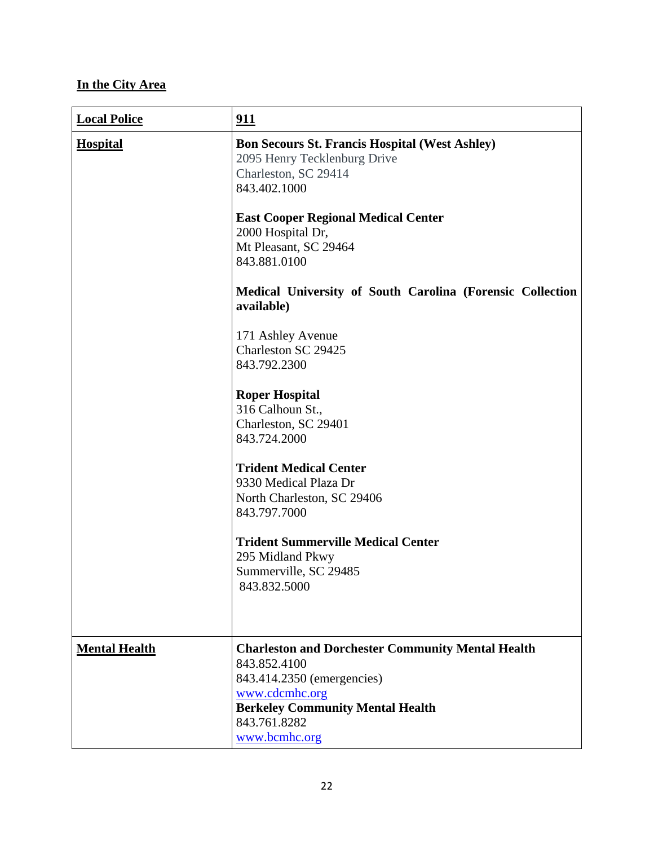# **In the City Area**

| <b>Local Police</b>  | 911                                                                                                                                                                                                                                       |
|----------------------|-------------------------------------------------------------------------------------------------------------------------------------------------------------------------------------------------------------------------------------------|
| <b>Hospital</b>      | <b>Bon Secours St. Francis Hospital (West Ashley)</b><br>2095 Henry Tecklenburg Drive<br>Charleston, SC 29414<br>843.402.1000<br><b>East Cooper Regional Medical Center</b><br>2000 Hospital Dr,<br>Mt Pleasant, SC 29464<br>843.881.0100 |
|                      | Medical University of South Carolina (Forensic Collection<br>available)                                                                                                                                                                   |
|                      | 171 Ashley Avenue<br>Charleston SC 29425<br>843.792.2300                                                                                                                                                                                  |
|                      | <b>Roper Hospital</b><br>316 Calhoun St.,<br>Charleston, SC 29401<br>843.724.2000                                                                                                                                                         |
|                      | <b>Trident Medical Center</b><br>9330 Medical Plaza Dr<br>North Charleston, SC 29406<br>843.797.7000                                                                                                                                      |
|                      | <b>Trident Summerville Medical Center</b><br>295 Midland Pkwy<br>Summerville, SC 29485<br>843.832.5000                                                                                                                                    |
| <b>Mental Health</b> | <b>Charleston and Dorchester Community Mental Health</b><br>843.852.4100<br>843.414.2350 (emergencies)<br>www.cdcmhc.org<br><b>Berkeley Community Mental Health</b><br>843.761.8282<br>www.bcmhc.org                                      |